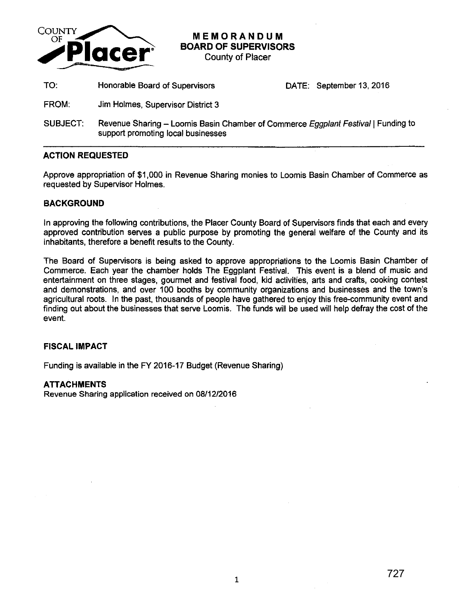

**MEMORANDUM BOARD OF SUPERVISORS** 

County of Placer

TO: Honorable Board of Supervisors DATE: September 13, 2016

- FROM: Jim Holmes, Supervisor District 3
- SUBJECT: Revenue Sharing Loomis Basin Chamber of Commerce Eggplant Festival | Funding to support promoting local businesses

## **ACTION REQUESTED**

Approve appropriation of \$1,000 in Revenue Sharing monies to Loomis Basin Chamber of Commerce as requested by Supervisor Holmes.

## **BACKGROUND**

In approving the following contributions, the Placer County Board of Supervisors finds that each and every approved contribution serves a public purpose by promoting the general welfare of the County and its inhabitants, therefore a benefit results to the County.

The Board of Supervisors is being asked to approve appropriations to the Loomis Basin Chamber of Commerce. Each year the chamber holds The Eggplant Festival. This event is a blend of music and entertainment on three stages, gourmet and festival food, kid activities, arts and crafts, cooking contest and demonstrations, and over 100 booths by community organizations and businesses and the town's agricultural roots. In the past, thousands of people have gathered to enjoy this free-community event and finding out about the businesses that serve Loomis. The funds will be used will help defray the cost of the event.

## **FISCAL IMPACT**

Funding is available in the FY 2016-17 Budget (Revenue Sharing)

## **ATTACHMENTS**

Revenue Sharing application received on 08/12/2016